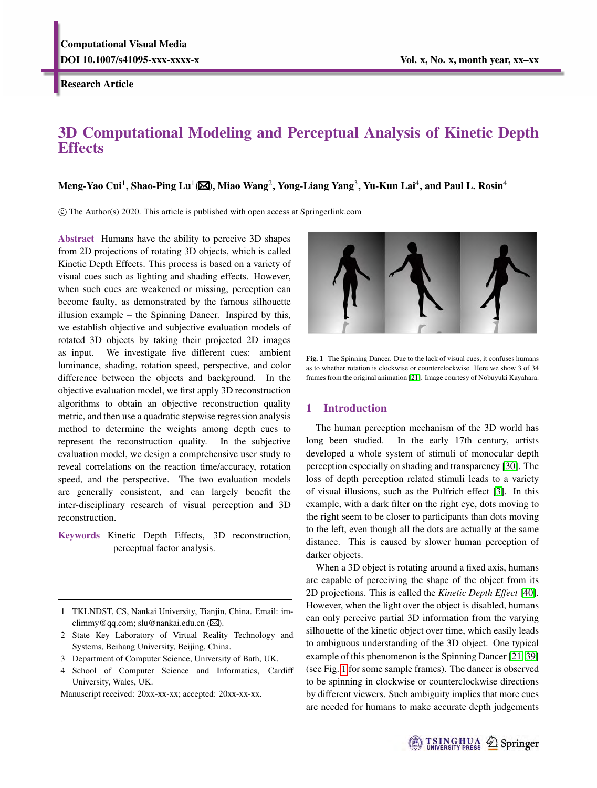Research Article

# 3D Computational Modeling and Perceptual Analysis of Kinetic Depth **Effects**

Meng-Yao Cui<sup>1</sup>, Shao-Ping Lu<sup>1</sup>(⊠), Miao Wang<sup>2</sup>, Yong-Liang Yang<sup>3</sup>, Yu-Kun Lai<sup>4</sup>, and Paul L. Rosin<sup>4</sup>

c The Author(s) 2020. This article is published with open access at Springerlink.com

Abstract Humans have the ability to perceive 3D shapes from 2D projections of rotating 3D objects, which is called Kinetic Depth Effects. This process is based on a variety of visual cues such as lighting and shading effects. However, when such cues are weakened or missing, perception can become faulty, as demonstrated by the famous silhouette illusion example – the Spinning Dancer. Inspired by this, we establish objective and subjective evaluation models of rotated 3D objects by taking their projected 2D images as input. We investigate five different cues: ambient luminance, shading, rotation speed, perspective, and color difference between the objects and background. In the objective evaluation model, we first apply 3D reconstruction algorithms to obtain an objective reconstruction quality metric, and then use a quadratic stepwise regression analysis method to determine the weights among depth cues to represent the reconstruction quality. In the subjective evaluation model, we design a comprehensive user study to reveal correlations on the reaction time/accuracy, rotation speed, and the perspective. The two evaluation models are generally consistent, and can largely benefit the inter-disciplinary research of visual perception and 3D reconstruction.

Keywords Kinetic Depth Effects, 3D reconstruction, perceptual factor analysis.

- 2 State Key Laboratory of Virtual Reality Technology and Systems, Beihang University, Beijing, China.
- 3 Department of Computer Science, University of Bath, UK.
- 4 School of Computer Science and Informatics, Cardiff University, Wales, UK.

Manuscript received: 20xx-xx-xx; accepted: 20xx-xx-xx.

<span id="page-0-0"></span>

Fig. 1 The Spinning Dancer. Due to the lack of visual cues, it confuses humans as to whether rotation is clockwise or counterclockwise. Here we show 3 of 34 frames from the original animation [\[21\]](#page-10-0). Image courtesy of Nobuyuki Kayahara.

# 1 Introduction

The human perception mechanism of the 3D world has long been studied. In the early 17th century, artists developed a whole system of stimuli of monocular depth perception especially on shading and transparency [\[30\]](#page-10-1). The loss of depth perception related stimuli leads to a variety of visual illusions, such as the Pulfrich effect [\[3\]](#page-10-2). In this example, with a dark filter on the right eye, dots moving to the right seem to be closer to participants than dots moving to the left, even though all the dots are actually at the same distance. This is caused by slower human perception of darker objects.

When a 3D object is rotating around a fixed axis, humans are capable of perceiving the shape of the object from its 2D projections. This is called the *Kinetic Depth Effect* [\[40\]](#page-11-0). However, when the light over the object is disabled, humans can only perceive partial 3D information from the varying silhouette of the kinetic object over time, which easily leads to ambiguous understanding of the 3D object. One typical example of this phenomenon is the Spinning Dancer [\[21,](#page-10-0) [39\]](#page-11-1) (see Fig. [1](#page-0-0) for some sample frames). The dancer is observed to be spinning in clockwise or counterclockwise directions by different viewers. Such ambiguity implies that more cues are needed for humans to make accurate depth judgements



<sup>1</sup> TKLNDST, CS, Nankai University, Tianjin, China. Email: imclimmy@qq.com; slu@nankai.edu.cn ( $\boxtimes$ ).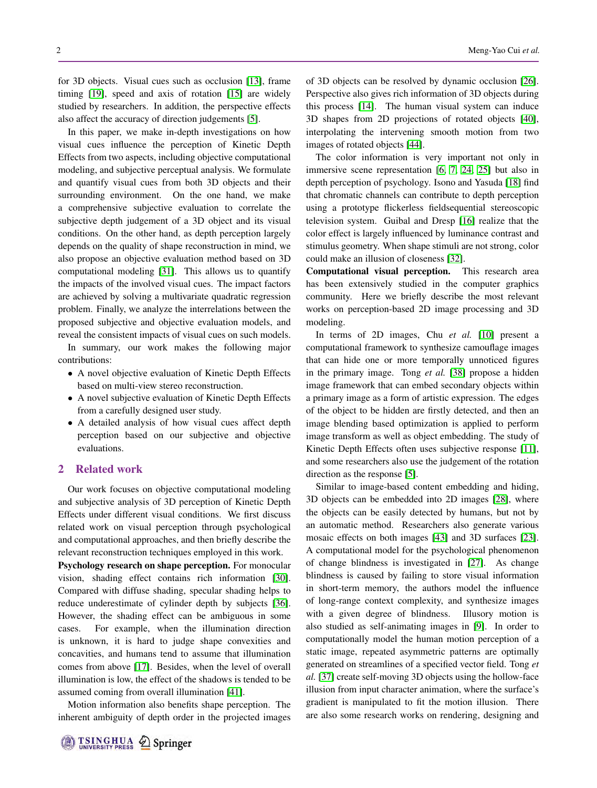for 3D objects. Visual cues such as occlusion [\[13\]](#page-10-3), frame timing [\[19\]](#page-10-4), speed and axis of rotation [\[15\]](#page-10-5) are widely studied by researchers. In addition, the perspective effects also affect the accuracy of direction judgements [\[5\]](#page-10-6).

In this paper, we make in-depth investigations on how visual cues influence the perception of Kinetic Depth Effects from two aspects, including objective computational modeling, and subjective perceptual analysis. We formulate and quantify visual cues from both 3D objects and their surrounding environment. On the one hand, we make a comprehensive subjective evaluation to correlate the subjective depth judgement of a 3D object and its visual conditions. On the other hand, as depth perception largely depends on the quality of shape reconstruction in mind, we also propose an objective evaluation method based on 3D computational modeling [\[31\]](#page-10-7). This allows us to quantify the impacts of the involved visual cues. The impact factors are achieved by solving a multivariate quadratic regression problem. Finally, we analyze the interrelations between the proposed subjective and objective evaluation models, and reveal the consistent impacts of visual cues on such models.

In summary, our work makes the following major contributions:

- A novel objective evaluation of Kinetic Depth Effects based on multi-view stereo reconstruction.
- A novel subjective evaluation of Kinetic Depth Effects from a carefully designed user study.
- A detailed analysis of how visual cues affect depth perception based on our subjective and objective evaluations.

#### 2 Related work

Our work focuses on objective computational modeling and subjective analysis of 3D perception of Kinetic Depth Effects under different visual conditions. We first discuss related work on visual perception through psychological and computational approaches, and then briefly describe the relevant reconstruction techniques employed in this work.

Psychology research on shape perception. For monocular vision, shading effect contains rich information [\[30\]](#page-10-1). Compared with diffuse shading, specular shading helps to reduce underestimate of cylinder depth by subjects [\[36\]](#page-10-8). However, the shading effect can be ambiguous in some cases. For example, when the illumination direction is unknown, it is hard to judge shape convexities and concavities, and humans tend to assume that illumination comes from above [\[17\]](#page-10-9). Besides, when the level of overall illumination is low, the effect of the shadows is tended to be assumed coming from overall illumination [\[41\]](#page-11-2).

Motion information also benefits shape perception. The inherent ambiguity of depth order in the projected images

of 3D objects can be resolved by dynamic occlusion [\[26\]](#page-10-10). Perspective also gives rich information of 3D objects during this process [\[14\]](#page-10-11). The human visual system can induce 3D shapes from 2D projections of rotated objects [\[40\]](#page-11-0), interpolating the intervening smooth motion from two images of rotated objects [\[44\]](#page-11-3).

The color information is very important not only in immersive scene representation [\[6,](#page-10-12) [7,](#page-10-13) [24,](#page-10-14) [25\]](#page-10-15) but also in depth perception of psychology. Isono and Yasuda [\[18\]](#page-10-16) find that chromatic channels can contribute to depth perception using a prototype flickerless fieldsequential stereoscopic television system. Guibal and Dresp [\[16\]](#page-10-17) realize that the color effect is largely influenced by luminance contrast and stimulus geometry. When shape stimuli are not strong, color could make an illusion of closeness [\[32\]](#page-10-18).

Computational visual perception. This research area has been extensively studied in the computer graphics community. Here we briefly describe the most relevant works on perception-based 2D image processing and 3D modeling.

In terms of 2D images, Chu *et al.* [\[10\]](#page-10-19) present a computational framework to synthesize camouflage images that can hide one or more temporally unnoticed figures in the primary image. Tong *et al.* [\[38\]](#page-10-20) propose a hidden image framework that can embed secondary objects within a primary image as a form of artistic expression. The edges of the object to be hidden are firstly detected, and then an image blending based optimization is applied to perform image transform as well as object embedding. The study of Kinetic Depth Effects often uses subjective response [\[11\]](#page-10-21), and some researchers also use the judgement of the rotation direction as the response [\[5\]](#page-10-6).

Similar to image-based content embedding and hiding, 3D objects can be embedded into 2D images [\[28\]](#page-10-22), where the objects can be easily detected by humans, but not by an automatic method. Researchers also generate various mosaic effects on both images [\[43\]](#page-11-4) and 3D surfaces [\[23\]](#page-10-23). A computational model for the psychological phenomenon of change blindness is investigated in [\[27\]](#page-10-24). As change blindness is caused by failing to store visual information in short-term memory, the authors model the influence of long-range context complexity, and synthesize images with a given degree of blindness. Illusory motion is also studied as self-animating images in [\[9\]](#page-10-25). In order to computationally model the human motion perception of a static image, repeated asymmetric patterns are optimally generated on streamlines of a specified vector field. Tong *et al.* [\[37\]](#page-10-26) create self-moving 3D objects using the hollow-face illusion from input character animation, where the surface's gradient is manipulated to fit the motion illusion. There are also some research works on rendering, designing and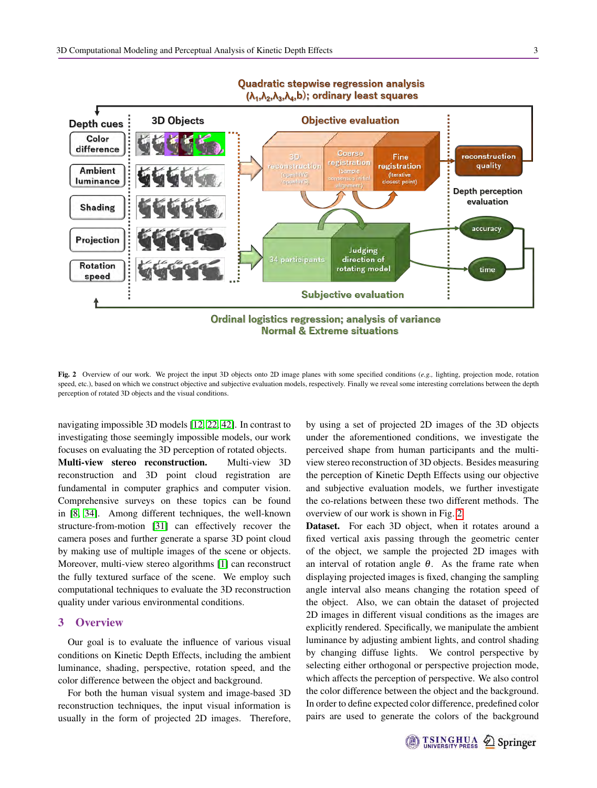<span id="page-2-0"></span>

# Quadratic stepwise regression analysis

Fig. 2 Overview of our work. We project the input 3D objects onto 2D image planes with some specified conditions (*e.g.,* lighting, projection mode, rotation speed, etc.), based on which we construct objective and subjective evaluation models, respectively. Finally we reveal some interesting correlations between the depth perception of rotated 3D objects and the visual conditions.

**Normal & Extreme situations** 

navigating impossible 3D models [\[12,](#page-10-27) [22,](#page-10-28) [42\]](#page-11-5). In contrast to investigating those seemingly impossible models, our work focuses on evaluating the 3D perception of rotated objects. Multi-view stereo reconstruction. Multi-view 3D reconstruction and 3D point cloud registration are fundamental in computer graphics and computer vision. Comprehensive surveys on these topics can be found in [\[8,](#page-10-29) [34\]](#page-10-30). Among different techniques, the well-known structure-from-motion [\[31\]](#page-10-7) can effectively recover the camera poses and further generate a sparse 3D point cloud by making use of multiple images of the scene or objects. Moreover, multi-view stereo algorithms [\[1\]](#page-10-31) can reconstruct the fully textured surface of the scene. We employ such computational techniques to evaluate the 3D reconstruction quality under various environmental conditions.

# 3 Overview

Our goal is to evaluate the influence of various visual conditions on Kinetic Depth Effects, including the ambient luminance, shading, perspective, rotation speed, and the color difference between the object and background.

For both the human visual system and image-based 3D reconstruction techniques, the input visual information is usually in the form of projected 2D images. Therefore,

by using a set of projected 2D images of the 3D objects under the aforementioned conditions, we investigate the perceived shape from human participants and the multiview stereo reconstruction of 3D objects. Besides measuring the perception of Kinetic Depth Effects using our objective and subjective evaluation models, we further investigate the co-relations between these two different methods. The overview of our work is shown in Fig. [2.](#page-2-0)

Dataset. For each 3D object, when it rotates around a fixed vertical axis passing through the geometric center of the object, we sample the projected 2D images with an interval of rotation angle  $\theta$ . As the frame rate when displaying projected images is fixed, changing the sampling angle interval also means changing the rotation speed of the object. Also, we can obtain the dataset of projected 2D images in different visual conditions as the images are explicitly rendered. Specifically, we manipulate the ambient luminance by adjusting ambient lights, and control shading by changing diffuse lights. We control perspective by selecting either orthogonal or perspective projection mode, which affects the perception of perspective. We also control the color difference between the object and the background. In order to define expected color difference, predefined color pairs are used to generate the colors of the background

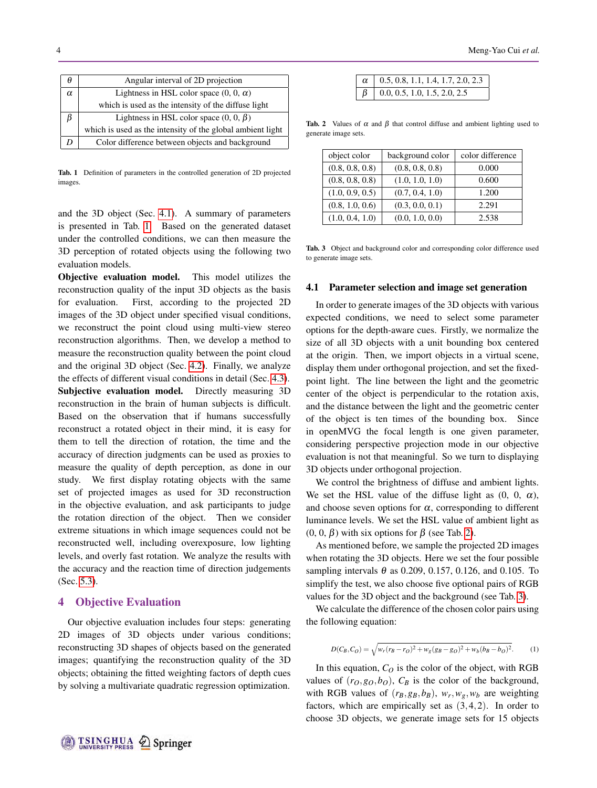<span id="page-3-1"></span>

| н        | Angular interval of 2D projection                          |  |
|----------|------------------------------------------------------------|--|
| $\alpha$ | Lightness in HSL color space $(0, 0, \alpha)$              |  |
|          | which is used as the intensity of the diffuse light        |  |
|          | Lightness in HSL color space $(0, 0, \beta)$               |  |
|          | which is used as the intensity of the global ambient light |  |
|          | Color difference between objects and background            |  |

Tab. 1 Definition of parameters in the controlled generation of 2D projected images.

and the 3D object (Sec. [4.1\)](#page-3-0). A summary of parameters is presented in Tab. [1.](#page-3-1) Based on the generated dataset under the controlled conditions, we can then measure the 3D perception of rotated objects using the following two evaluation models.

Objective evaluation model. This model utilizes the reconstruction quality of the input 3D objects as the basis for evaluation. First, according to the projected 2D images of the 3D object under specified visual conditions, we reconstruct the point cloud using multi-view stereo reconstruction algorithms. Then, we develop a method to measure the reconstruction quality between the point cloud and the original 3D object (Sec. [4.2\)](#page-4-0). Finally, we analyze the effects of different visual conditions in detail (Sec. [4.3\)](#page-4-1). Subjective evaluation model. Directly measuring 3D reconstruction in the brain of human subjects is difficult. Based on the observation that if humans successfully reconstruct a rotated object in their mind, it is easy for them to tell the direction of rotation, the time and the accuracy of direction judgments can be used as proxies to measure the quality of depth perception, as done in our study. We first display rotating objects with the same set of projected images as used for 3D reconstruction in the objective evaluation, and ask participants to judge the rotation direction of the object. Then we consider extreme situations in which image sequences could not be reconstructed well, including overexposure, low lighting levels, and overly fast rotation. We analyze the results with the accuracy and the reaction time of direction judgements (Sec. [5.3\)](#page-6-0).

# 4 Objective Evaluation

Our objective evaluation includes four steps: generating 2D images of 3D objects under various conditions; reconstructing 3D shapes of objects based on the generated images; quantifying the reconstruction quality of the 3D objects; obtaining the fitted weighting factors of depth cues by solving a multivariate quadratic regression optimization.

| $\alpha$   0.5, 0.8, 1.1, 1.4, 1.7, 2.0, 2.3 |
|----------------------------------------------|
| $\beta$   0.0, 0.5, 1.0, 1.5, 2.0, 2.5       |

<span id="page-3-2"></span>Tab. 2 Values of  $\alpha$  and  $\beta$  that control diffuse and ambient lighting used to generate image sets.

<span id="page-3-3"></span>

| object color    | background color | color difference |
|-----------------|------------------|------------------|
| (0.8, 0.8, 0.8) | (0.8, 0.8, 0.8)  | 0.000            |
| (0.8, 0.8, 0.8) | (1.0, 1.0, 1.0)  | 0.600            |
| (1.0, 0.9, 0.5) | (0.7, 0.4, 1.0)  | 1.200            |
| (0.8, 1.0, 0.6) | (0.3, 0.0, 0.1)  | 2.291            |
| (1.0, 0.4, 1.0) | (0.0, 1.0, 0.0)  | 2.538            |

Tab. 3 Object and background color and corresponding color difference used to generate image sets.

#### <span id="page-3-0"></span>4.1 Parameter selection and image set generation

In order to generate images of the 3D objects with various expected conditions, we need to select some parameter options for the depth-aware cues. Firstly, we normalize the size of all 3D objects with a unit bounding box centered at the origin. Then, we import objects in a virtual scene, display them under orthogonal projection, and set the fixedpoint light. The line between the light and the geometric center of the object is perpendicular to the rotation axis, and the distance between the light and the geometric center of the object is ten times of the bounding box. Since in openMVG the focal length is one given parameter, considering perspective projection mode in our objective evaluation is not that meaningful. So we turn to displaying 3D objects under orthogonal projection.

We control the brightness of diffuse and ambient lights. We set the HSL value of the diffuse light as  $(0, 0, \alpha)$ , and choose seven options for  $\alpha$ , corresponding to different luminance levels. We set the HSL value of ambient light as  $(0, 0, \beta)$  with six options for  $\beta$  (see Tab. [2\)](#page-3-2).

As mentioned before, we sample the projected 2D images when rotating the 3D objects. Here we set the four possible sampling intervals  $\theta$  as 0.209, 0.157, 0.126, and 0.105. To simplify the test, we also choose five optional pairs of RGB values for the 3D object and the background (see Tab. [3\)](#page-3-3).

We calculate the difference of the chosen color pairs using the following equation:

$$
D(C_B, C_O) = \sqrt{w_r (r_B - r_O)^2 + w_g (g_B - g_O)^2 + w_b (b_B - b_O)^2}.
$$
 (1)

In this equation,  $C_Q$  is the color of the object, with RGB values of  $(r_0, g_0, b_0)$ ,  $C_B$  is the color of the background, with RGB values of  $(r_B, g_B, b_B)$ ,  $w_r, w_g, w_b$  are weighting factors, which are empirically set as  $(3,4,2)$ . In order to choose 3D objects, we generate image sets for 15 objects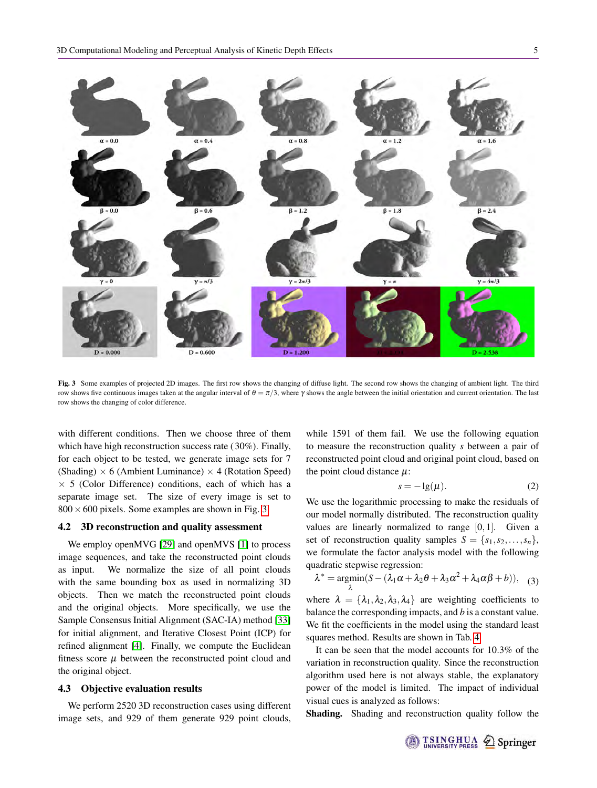<span id="page-4-2"></span>

Fig. 3 Some examples of projected 2D images. The first row shows the changing of diffuse light. The second row shows the changing of ambient light. The third row shows five continuous images taken at the angular interval of  $\theta = \pi/3$ , where  $\gamma$  shows the angle between the initial orientation and current orientation. The last row shows the changing of color difference.

with different conditions. Then we choose three of them which have high reconstruction success rate (30%). Finally, for each object to be tested, we generate image sets for 7 (Shading)  $\times$  6 (Ambient Luminance)  $\times$  4 (Rotation Speed)  $\times$  5 (Color Difference) conditions, each of which has a separate image set. The size of every image is set to  $800 \times 600$  pixels. Some examples are shown in Fig. [3.](#page-4-2)

#### <span id="page-4-0"></span>4.2 3D reconstruction and quality assessment

We employ openMVG [\[29\]](#page-10-32) and openMVS [\[1\]](#page-10-31) to process image sequences, and take the reconstructed point clouds as input. We normalize the size of all point clouds with the same bounding box as used in normalizing 3D objects. Then we match the reconstructed point clouds and the original objects. More specifically, we use the Sample Consensus Initial Alignment (SAC-IA) method [\[33\]](#page-10-33) for initial alignment, and Iterative Closest Point (ICP) for refined alignment [\[4\]](#page-10-34). Finally, we compute the Euclidean fitness score  $\mu$  between the reconstructed point cloud and the original object.

#### <span id="page-4-1"></span>4.3 Objective evaluation results

We perform 2520 3D reconstruction cases using different image sets, and 929 of them generate 929 point clouds,

while 1591 of them fail. We use the following equation to measure the reconstruction quality *s* between a pair of reconstructed point cloud and original point cloud, based on the point cloud distance  $\mu$ :

$$
s = -\lg(\mu). \tag{2}
$$

We use the logarithmic processing to make the residuals of our model normally distributed. The reconstruction quality values are linearly normalized to range  $[0,1]$ . Given a set of reconstruction quality samples  $S = \{s_1, s_2, \ldots, s_n\},\$ we formulate the factor analysis model with the following quadratic stepwise regression:

$$
\lambda^* = \underset{\lambda}{\text{argmin}} (S - (\lambda_1 \alpha + \lambda_2 \theta + \lambda_3 \alpha^2 + \lambda_4 \alpha \beta + b)), \quad (3)
$$

where  $\lambda = {\lambda_1, \lambda_2, \lambda_3, \lambda_4}$  are weighting coefficients to balance the corresponding impacts, and *b* is a constant value. We fit the coefficients in the model using the standard least squares method. Results are shown in Tab. [4.](#page-5-0)

It can be seen that the model accounts for 10.3% of the variation in reconstruction quality. Since the reconstruction algorithm used here is not always stable, the explanatory power of the model is limited. The impact of individual visual cues is analyzed as follows:

Shading. Shading and reconstruction quality follow the

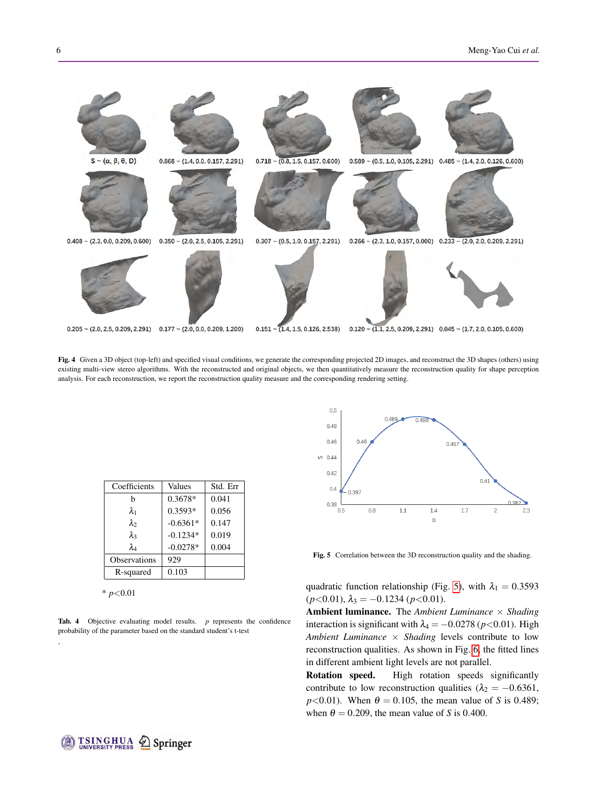

Fig. 4 Given a 3D object (top-left) and specified visual conditions, we generate the corresponding projected 2D images, and reconstruct the 3D shapes (others) using existing multi-view stereo algorithms. With the reconstructed and original objects, we then quantitatively measure the reconstruction quality for shape perception analysis. For each reconstruction, we report the reconstruction quality measure and the corresponding rendering setting.

<span id="page-5-0"></span>

| Coefficients | Values     | Std. Err |
|--------------|------------|----------|
| h            | 0.3678*    | 0.041    |
| λ1           | $0.3593*$  | 0.056    |
| $\lambda_2$  | $-0.6361*$ | 0.147    |
| $\lambda_3$  | $-0.1234*$ | 0.019    |
| $\lambda_4$  | $-0.0278*$ | 0.004    |
| Observations | 929        |          |
| R-squared    | 0.103      |          |

\* *p*<0.01

.

Tab. 4 Objective evaluating model results. *p* represents the confidence probability of the parameter based on the standard student's t-test

<span id="page-5-1"></span>

Fig. 5 Correlation between the 3D reconstruction quality and the shading.

quadratic function relationship (Fig. [5\)](#page-5-1), with  $\lambda_1 = 0.3593$  $(p<0.01)$ ,  $\lambda_3 = -0.1234$  ( $p<0.01$ ).

Ambient luminance. The *Ambient Luminance* × *Shading* interaction is significant with  $\lambda_4 = -0.0278$  ( $p < 0.01$ ). High *Ambient Luminance* × *Shading* levels contribute to low reconstruction qualities. As shown in Fig. [6,](#page-6-1) the fitted lines in different ambient light levels are not parallel.

Rotation speed. High rotation speeds significantly contribute to low reconstruction qualities ( $\lambda_2 = -0.6361$ ,  $p<0.01$ ). When  $\theta = 0.105$ , the mean value of *S* is 0.489; when  $\theta = 0.209$ , the mean value of *S* is 0.400.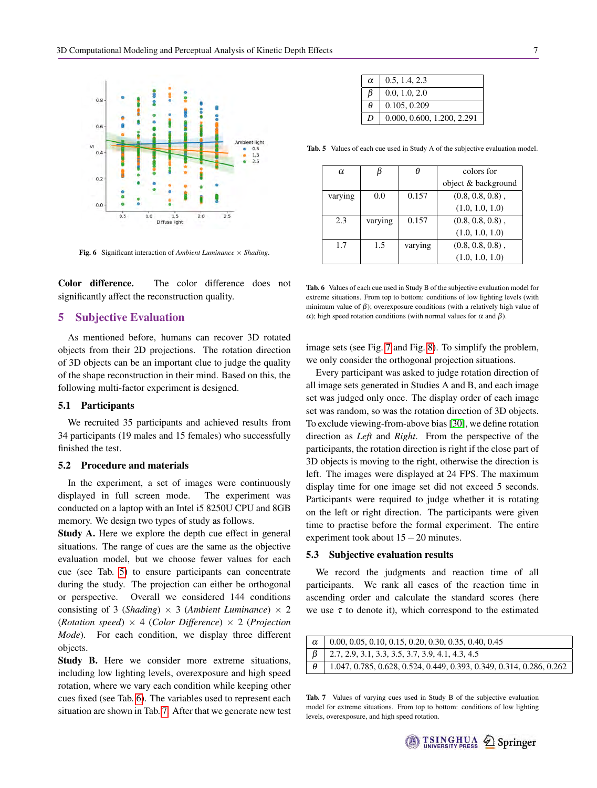<span id="page-6-1"></span>

Fig. 6 Significant interaction of *Ambient Luminance* × *Shading*.

Color difference. The color difference does not significantly affect the reconstruction quality.

# 5 Subjective Evaluation

As mentioned before, humans can recover 3D rotated objects from their 2D projections. The rotation direction of 3D objects can be an important clue to judge the quality of the shape reconstruction in their mind. Based on this, the following multi-factor experiment is designed.

#### 5.1 Participants

We recruited 35 participants and achieved results from 34 participants (19 males and 15 females) who successfully finished the test.

#### 5.2 Procedure and materials

In the experiment, a set of images were continuously displayed in full screen mode. The experiment was conducted on a laptop with an Intel i5 8250U CPU and 8GB memory. We design two types of study as follows.

Study A. Here we explore the depth cue effect in general situations. The range of cues are the same as the objective evaluation model, but we choose fewer values for each cue (see Tab. [5\)](#page-6-2) to ensure participants can concentrate during the study. The projection can either be orthogonal or perspective. Overall we considered 144 conditions consisting of 3 (*Shading*)  $\times$  3 (*Ambient Luminance*)  $\times$  2 (*Rotation speed*) × 4 (*Color Difference*) × 2 (*Projection Mode*). For each condition, we display three different objects.

Study B. Here we consider more extreme situations, including low lighting levels, overexposure and high speed rotation, where we vary each condition while keeping other cues fixed (see Tab. [6\)](#page-6-3). The variables used to represent each situation are shown in Tab. [7.](#page-6-4) After that we generate new test

<span id="page-6-2"></span>

| $\alpha$ | 0.5, 1.4, 2.3              |
|----------|----------------------------|
| ß        | 0.0, 1.0, 2.0              |
| θ        | 0.105, 0.209               |
| D        | 0.000, 0.600, 1.200, 2.291 |

<span id="page-6-3"></span>Tab. 5 Values of each cue used in Study A of the subjective evaluation model.

| α       |         | θ       | colors for          |
|---------|---------|---------|---------------------|
|         |         |         | object & background |
| varying | 0.0     | 0.157   | $(0.8, 0.8, 0.8)$ , |
|         |         |         | (1.0, 1.0, 1.0)     |
| 2.3     | varying | 0.157   | $(0.8, 0.8, 0.8)$ , |
|         |         |         | (1.0, 1.0, 1.0)     |
| 1.7     | 1.5     | varying | $(0.8, 0.8, 0.8)$ , |
|         |         |         | (1.0, 1.0, 1.0)     |

Tab. 6 Values of each cue used in Study B of the subjective evaluation model for extreme situations. From top to bottom: conditions of low lighting levels (with minimum value of  $\beta$ ); overexposure conditions (with a relatively high value of α); high speed rotation conditions (with normal values for  $\alpha$  and  $\beta$ ).

image sets (see Fig. [7](#page-8-0) and Fig. [8\)](#page-8-1). To simplify the problem, we only consider the orthogonal projection situations.

Every participant was asked to judge rotation direction of all image sets generated in Studies A and B, and each image set was judged only once. The display order of each image set was random, so was the rotation direction of 3D objects. To exclude viewing-from-above bias [\[30\]](#page-10-1), we define rotation direction as *Left* and *Right*. From the perspective of the participants, the rotation direction is right if the close part of 3D objects is moving to the right, otherwise the direction is left. The images were displayed at 24 FPS. The maximum display time for one image set did not exceed 5 seconds. Participants were required to judge whether it is rotating on the left or right direction. The participants were given time to practise before the formal experiment. The entire experiment took about 15−20 minutes.

#### <span id="page-6-0"></span>5.3 Subjective evaluation results

We record the judgments and reaction time of all participants. We rank all cases of the reaction time in ascending order and calculate the standard scores (here we use  $\tau$  to denote it), which correspond to the estimated

<span id="page-6-4"></span>

| $0.00, 0.05, 0.10, 0.15, 0.20, 0.30, 0.35, 0.40, 0.45$               |
|----------------------------------------------------------------------|
| $\vert$ 2.7, 2.9, 3.1, 3.3, 3.5, 3.7, 3.9, 4.1, 4.3, 4.5             |
| 1.047, 0.785, 0.628, 0.524, 0.449, 0.393, 0.349, 0.314, 0.286, 0.262 |

Tab. 7 Values of varying cues used in Study B of the subjective evaluation model for extreme situations. From top to bottom: conditions of low lighting levels, overexposure, and high speed rotation.

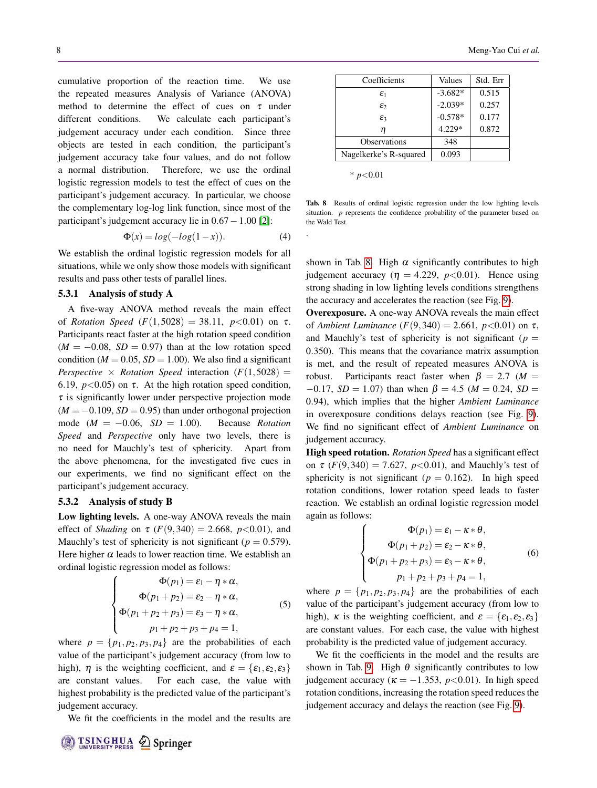cumulative proportion of the reaction time. We use the repeated measures Analysis of Variance (ANOVA) method to determine the effect of cues on  $\tau$  under different conditions. We calculate each participant's judgement accuracy under each condition. Since three objects are tested in each condition, the participant's judgement accuracy take four values, and do not follow a normal distribution. Therefore, we use the ordinal logistic regression models to test the effect of cues on the participant's judgement accuracy. In particular, we choose the complementary log-log link function, since most of the participant's judgement accuracy lie in 0.67−1.00 [\[2\]](#page-10-35):

$$
\Phi(x) = \log(-\log(1-x)).\tag{4}
$$

We establish the ordinal logistic regression models for all situations, while we only show those models with significant results and pass other tests of parallel lines.

#### 5.3.1 Analysis of study A

A five-way ANOVA method reveals the main effect of *Rotation Speed*  $(F(1,5028) = 38.11, p<0.01)$  on  $\tau$ . Participants react faster at the high rotation speed condition  $(M = -0.08, SD = 0.97)$  than at the low rotation speed condition ( $M = 0.05$ ,  $SD = 1.00$ ). We also find a significant *Perspective*  $\times$  *Rotation Speed* interaction ( $F(1,5028)$ ) = 6.19,  $p < 0.05$ ) on  $\tau$ . At the high rotation speed condition,  $\tau$  is significantly lower under perspective projection mode  $(M = -0.109, SD = 0.95)$  than under orthogonal projection mode  $(M = -0.06, SD = 1.00)$ . Because *Rotation Speed* and *Perspective* only have two levels, there is no need for Mauchly's test of sphericity. Apart from the above phenomena, for the investigated five cues in our experiments, we find no significant effect on the participant's judgement accuracy.

#### 5.3.2 Analysis of study B

Low lighting levels. A one-way ANOVA reveals the main effect of *Shading* on  $\tau$  (*F*(9,340) = 2.668, *p*<0.01), and Mauchly's test of sphericity is not significant ( $p = 0.579$ ). Here higher  $\alpha$  leads to lower reaction time. We establish an ordinal logistic regression model as follows:

$$
\Phi(p_1) = \varepsilon_1 - \eta * \alpha,
$$
  
\n
$$
\Phi(p_1 + p_2) = \varepsilon_2 - \eta * \alpha,
$$
  
\n
$$
\Phi(p_1 + p_2 + p_3) = \varepsilon_3 - \eta * \alpha,
$$
  
\n
$$
p_1 + p_2 + p_3 + p_4 = 1,
$$
\n(5)

where  $p = \{p_1, p_2, p_3, p_4\}$  are the probabilities of each value of the participant's judgement accuracy (from low to high),  $\eta$  is the weighting coefficient, and  $\varepsilon = {\varepsilon_1, \varepsilon_2, \varepsilon_3}$ are constant values. For each case, the value with highest probability is the predicted value of the participant's judgement accuracy.

We fit the coefficients in the model and the results are

<span id="page-7-0"></span>

| Coefficients           | Values    | Std. Err |
|------------------------|-----------|----------|
| $\varepsilon_1$        | $-3.682*$ | 0.515    |
| εż                     | $-2.039*$ | 0.257    |
| $\varepsilon_3$        | $-0.578*$ | 0.177    |
| п                      | 4.229*    | 0.872    |
| <b>Observations</b>    | 348       |          |
| Nagelkerke's R-squared | 0.093     |          |

| <i>n</i> <0.01 |
|----------------|
|                |

.

Tab. 8 Results of ordinal logistic regression under the low lighting levels situation. *p* represents the confidence probability of the parameter based on the Wald Test

shown in Tab. [8.](#page-7-0) High  $\alpha$  significantly contributes to high judgement accuracy ( $\eta = 4.229$ ,  $p < 0.01$ ). Hence using strong shading in low lighting levels conditions strengthens the accuracy and accelerates the reaction (see Fig. [9\)](#page-9-0).

Overexposure. A one-way ANOVA reveals the main effect of *Ambient Luminance*  $(F(9,340) = 2.661, p < 0.01)$  on  $\tau$ , and Mauchly's test of sphericity is not significant ( $p =$ 0.350). This means that the covariance matrix assumption is met, and the result of repeated measures ANOVA is robust. Participants react faster when  $\beta = 2.7$  (*M* =  $-0.17$ , *SD* = 1.07) than when  $\beta$  = 4.5 (*M* = 0.24, *SD* = 0.94), which implies that the higher *Ambient Luminance* in overexposure conditions delays reaction (see Fig. [9\)](#page-9-0). We find no significant effect of *Ambient Luminance* on judgement accuracy.

High speed rotation. *Rotation Speed* has a significant effect on  $\tau$  (*F*(9,340) = 7.627, *p*<0.01), and Mauchly's test of sphericity is not significant ( $p = 0.162$ ). In high speed rotation conditions, lower rotation speed leads to faster reaction. We establish an ordinal logistic regression model again as follows:

$$
\Phi(p_1) = \varepsilon_1 - \kappa * \theta,
$$
  
\n
$$
\Phi(p_1 + p_2) = \varepsilon_2 - \kappa * \theta,
$$
  
\n
$$
\Phi(p_1 + p_2 + p_3) = \varepsilon_3 - \kappa * \theta,
$$
  
\n
$$
p_1 + p_2 + p_3 + p_4 = 1,
$$
\n(6)

where  $p = \{p_1, p_2, p_3, p_4\}$  are the probabilities of each value of the participant's judgement accuracy (from low to high), κ is the weighting coefficient, and  $\varepsilon = {\varepsilon_1, \varepsilon_2, \varepsilon_3}$ are constant values. For each case, the value with highest probability is the predicted value of judgement accuracy.

We fit the coefficients in the model and the results are shown in Tab. [9.](#page-8-2) High  $\theta$  significantly contributes to low judgement accuracy ( $\kappa = -1.353$ ,  $p < 0.01$ ). In high speed rotation conditions, increasing the rotation speed reduces the judgement accuracy and delays the reaction (see Fig. [9\)](#page-9-0).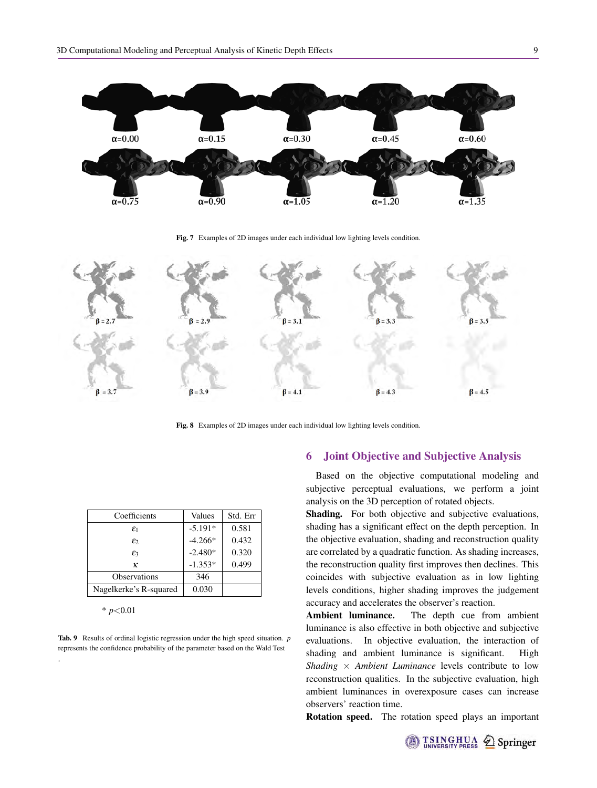<span id="page-8-0"></span>

Fig. 7 Examples of 2D images under each individual low lighting levels condition.

<span id="page-8-1"></span>

Fig. 8 Examples of 2D images under each individual low lighting levels condition.

<span id="page-8-2"></span>

| Coefficients           | Values    | Std. Err |
|------------------------|-----------|----------|
| $\varepsilon_1$        | $-5.191*$ | 0.581    |
| $\varepsilon$          | $-4.266*$ | 0.432    |
| $\varepsilon$ 3        | $-2.480*$ | 0.320    |
| ĸ                      | $-1.353*$ | 0.499    |
| <b>Observations</b>    | 346       |          |
| Nagelkerke's R-squared | 0.030     |          |

\* *p*<0.01

.

Tab. 9 Results of ordinal logistic regression under the high speed situation. *p* represents the confidence probability of the parameter based on the Wald Test

# 6 Joint Objective and Subjective Analysis

Based on the objective computational modeling and subjective perceptual evaluations, we perform a joint analysis on the 3D perception of rotated objects.

Shading. For both objective and subjective evaluations, shading has a significant effect on the depth perception. In the objective evaluation, shading and reconstruction quality are correlated by a quadratic function. As shading increases, the reconstruction quality first improves then declines. This coincides with subjective evaluation as in low lighting levels conditions, higher shading improves the judgement accuracy and accelerates the observer's reaction.

Ambient luminance. The depth cue from ambient luminance is also effective in both objective and subjective evaluations. In objective evaluation, the interaction of shading and ambient luminance is significant. High *Shading* × *Ambient Luminance* levels contribute to low reconstruction qualities. In the subjective evaluation, high ambient luminances in overexposure cases can increase observers' reaction time.

Rotation speed. The rotation speed plays an important

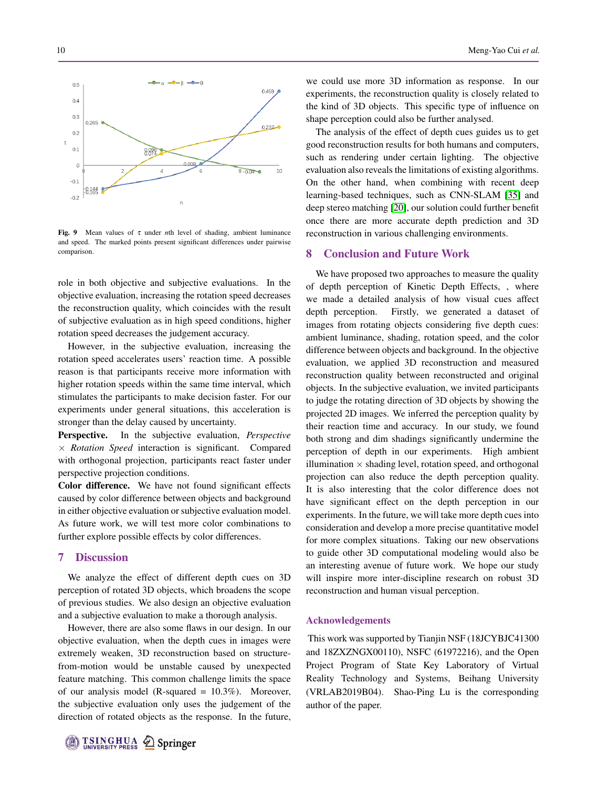<span id="page-9-0"></span>

Fig. 9 Mean values of  $\tau$  under *n*th level of shading, ambient luminance and speed. The marked points present significant differences under pairwise comparison.

role in both objective and subjective evaluations. In the objective evaluation, increasing the rotation speed decreases the reconstruction quality, which coincides with the result of subjective evaluation as in high speed conditions, higher rotation speed decreases the judgement accuracy.

However, in the subjective evaluation, increasing the rotation speed accelerates users' reaction time. A possible reason is that participants receive more information with higher rotation speeds within the same time interval, which stimulates the participants to make decision faster. For our experiments under general situations, this acceleration is stronger than the delay caused by uncertainty.

Perspective. In the subjective evaluation, *Perspective* × *Rotation Speed* interaction is significant. Compared with orthogonal projection, participants react faster under perspective projection conditions.

Color difference. We have not found significant effects caused by color difference between objects and background in either objective evaluation or subjective evaluation model. As future work, we will test more color combinations to further explore possible effects by color differences.

#### 7 Discussion

We analyze the effect of different depth cues on 3D perception of rotated 3D objects, which broadens the scope of previous studies. We also design an objective evaluation and a subjective evaluation to make a thorough analysis.

However, there are also some flaws in our design. In our objective evaluation, when the depth cues in images were extremely weaken, 3D reconstruction based on structurefrom-motion would be unstable caused by unexpected feature matching. This common challenge limits the space of our analysis model (R-squared = 10.3%). Moreover, the subjective evaluation only uses the judgement of the direction of rotated objects as the response. In the future,

we could use more 3D information as response. In our experiments, the reconstruction quality is closely related to the kind of 3D objects. This specific type of influence on shape perception could also be further analysed.

The analysis of the effect of depth cues guides us to get good reconstruction results for both humans and computers, such as rendering under certain lighting. The objective evaluation also reveals the limitations of existing algorithms. On the other hand, when combining with recent deep learning-based techniques, such as CNN-SLAM [\[35\]](#page-10-36) and deep stereo matching [\[20\]](#page-10-37), our solution could further benefit once there are more accurate depth prediction and 3D reconstruction in various challenging environments.

#### 8 Conclusion and Future Work

We have proposed two approaches to measure the quality of depth perception of Kinetic Depth Effects, , where we made a detailed analysis of how visual cues affect depth perception. Firstly, we generated a dataset of images from rotating objects considering five depth cues: ambient luminance, shading, rotation speed, and the color difference between objects and background. In the objective evaluation, we applied 3D reconstruction and measured reconstruction quality between reconstructed and original objects. In the subjective evaluation, we invited participants to judge the rotating direction of 3D objects by showing the projected 2D images. We inferred the perception quality by their reaction time and accuracy. In our study, we found both strong and dim shadings significantly undermine the perception of depth in our experiments. High ambient illumination  $\times$  shading level, rotation speed, and orthogonal projection can also reduce the depth perception quality. It is also interesting that the color difference does not have significant effect on the depth perception in our experiments. In the future, we will take more depth cues into consideration and develop a more precise quantitative model for more complex situations. Taking our new observations to guide other 3D computational modeling would also be an interesting avenue of future work. We hope our study will inspire more inter-discipline research on robust 3D reconstruction and human visual perception.

#### Acknowledgements

This work was supported by Tianjin NSF (18JCYBJC41300 and 18ZXZNGX00110), NSFC (61972216), and the Open Project Program of State Key Laboratory of Virtual Reality Technology and Systems, Beihang University (VRLAB2019B04). Shao-Ping Lu is the corresponding author of the paper.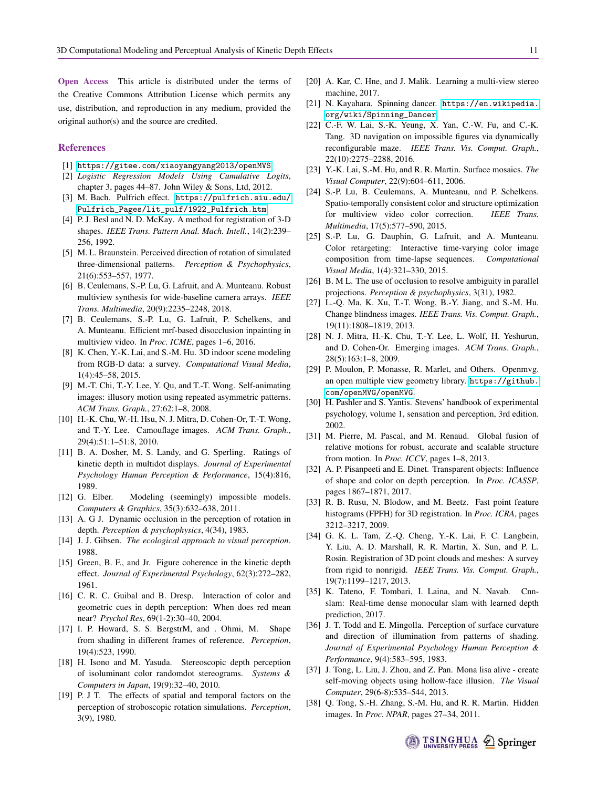Open Access This article is distributed under the terms of the Creative Commons Attribution License which permits any use, distribution, and reproduction in any medium, provided the original author(s) and the source are credited.

#### References

- <span id="page-10-31"></span>[1] <https://gitee.com/xiaoyangyang2013/openMVS>.
- <span id="page-10-35"></span>[2] *Logistic Regression Models Using Cumulative Logits*, chapter 3, pages 44–87. John Wiley & Sons, Ltd, 2012.
- <span id="page-10-2"></span>[3] M. Bach. Pulfrich effect. [https://pulfrich.siu.edu/](https://pulfrich.siu.edu/Pulfrich_Pages/lit_pulf/1922_Pulfrich.htm) [Pulfrich\\_Pages/lit\\_pulf/1922\\_Pulfrich.htm](https://pulfrich.siu.edu/Pulfrich_Pages/lit_pulf/1922_Pulfrich.htm).
- <span id="page-10-34"></span>[4] P. J. Besl and N. D. McKay. A method for registration of 3-D shapes. *IEEE Trans. Pattern Anal. Mach. Intell.*, 14(2):239– 256, 1992.
- <span id="page-10-6"></span>[5] M. L. Braunstein. Perceived direction of rotation of simulated three-dimensional patterns. *Perception & Psychophysics*, 21(6):553–557, 1977.
- <span id="page-10-12"></span>[6] B. Ceulemans, S.-P. Lu, G. Lafruit, and A. Munteanu. Robust multiview synthesis for wide-baseline camera arrays. *IEEE Trans. Multimedia*, 20(9):2235–2248, 2018.
- <span id="page-10-13"></span>[7] B. Ceulemans, S.-P. Lu, G. Lafruit, P. Schelkens, and A. Munteanu. Efficient mrf-based disocclusion inpainting in multiview video. In *Proc. ICME*, pages 1–6, 2016.
- <span id="page-10-29"></span>[8] K. Chen, Y.-K. Lai, and S.-M. Hu. 3D indoor scene modeling from RGB-D data: a survey. *Computational Visual Media*, 1(4):45–58, 2015.
- <span id="page-10-25"></span>[9] M.-T. Chi, T.-Y. Lee, Y. Qu, and T.-T. Wong. Self-animating images: illusory motion using repeated asymmetric patterns. *ACM Trans. Graph.*, 27:62:1–8, 2008.
- <span id="page-10-19"></span>[10] H.-K. Chu, W.-H. Hsu, N. J. Mitra, D. Cohen-Or, T.-T. Wong, and T.-Y. Lee. Camouflage images. *ACM Trans. Graph.*, 29(4):51:1–51:8, 2010.
- <span id="page-10-21"></span>[11] B. A. Dosher, M. S. Landy, and G. Sperling. Ratings of kinetic depth in multidot displays. *Journal of Experimental Psychology Human Perception & Performance*, 15(4):816, 1989.
- <span id="page-10-27"></span>[12] G. Elber. Modeling (seemingly) impossible models. *Computers & Graphics*, 35(3):632–638, 2011.
- <span id="page-10-3"></span>[13] A. G J. Dynamic occlusion in the perception of rotation in depth. *Perception & psychophysics*, 4(34), 1983.
- <span id="page-10-11"></span>[14] J. J. Gibsen. *The ecological approach to visual perception*. 1988.
- <span id="page-10-5"></span>[15] Green, B. F., and Jr. Figure coherence in the kinetic depth effect. *Journal of Experimental Psychology*, 62(3):272–282, 1961.
- <span id="page-10-17"></span>[16] C. R. C. Guibal and B. Dresp. Interaction of color and geometric cues in depth perception: When does red mean near? *Psychol Res*, 69(1-2):30–40, 2004.
- <span id="page-10-9"></span>[17] I. P. Howard, S. S. BergstrM, and . Ohmi, M. Shape from shading in different frames of reference. *Perception*, 19(4):523, 1990.
- <span id="page-10-16"></span>[18] H. Isono and M. Yasuda. Stereoscopic depth perception of isoluminant color randomdot stereograms. *Systems & Computers in Japan*, 19(9):32–40, 2010.
- <span id="page-10-4"></span>[19] P. J T. The effects of spatial and temporal factors on the perception of stroboscopic rotation simulations. *Perception*, 3(9), 1980.
- <span id="page-10-37"></span>[20] A. Kar, C. Hne, and J. Malik. Learning a multi-view stereo machine, 2017.
- <span id="page-10-0"></span>[21] N. Kayahara. Spinning dancer. [https://en.wikipedia.](https://en.wikipedia.org/wiki/Spinning_Dancer) [org/wiki/Spinning\\_Dancer](https://en.wikipedia.org/wiki/Spinning_Dancer).
- <span id="page-10-28"></span>[22] C.-F. W. Lai, S.-K. Yeung, X. Yan, C.-W. Fu, and C.-K. Tang. 3D navigation on impossible figures via dynamically reconfigurable maze. *IEEE Trans. Vis. Comput. Graph.*, 22(10):2275–2288, 2016.
- <span id="page-10-23"></span>[23] Y.-K. Lai, S.-M. Hu, and R. R. Martin. Surface mosaics. *The Visual Computer*, 22(9):604–611, 2006.
- <span id="page-10-14"></span>[24] S.-P. Lu, B. Ceulemans, A. Munteanu, and P. Schelkens. Spatio-temporally consistent color and structure optimization for multiview video color correction. *IEEE Trans. Multimedia*, 17(5):577–590, 2015.
- <span id="page-10-15"></span>[25] S.-P. Lu, G. Dauphin, G. Lafruit, and A. Munteanu. Color retargeting: Interactive time-varying color image composition from time-lapse sequences. *Computational Visual Media*, 1(4):321–330, 2015.
- <span id="page-10-10"></span>[26] B. M L. The use of occlusion to resolve ambiguity in parallel projections. *Perception & psychophysics*, 3(31), 1982.
- <span id="page-10-24"></span>[27] L.-Q. Ma, K. Xu, T.-T. Wong, B.-Y. Jiang, and S.-M. Hu. Change blindness images. *IEEE Trans. Vis. Comput. Graph.*, 19(11):1808–1819, 2013.
- <span id="page-10-22"></span>[28] N. J. Mitra, H.-K. Chu, T.-Y. Lee, L. Wolf, H. Yeshurun, and D. Cohen-Or. Emerging images. *ACM Trans. Graph.*, 28(5):163:1–8, 2009.
- <span id="page-10-32"></span>[29] P. Moulon, P. Monasse, R. Marlet, and Others. Openmyg. an open multiple view geometry library. [https://github.](https://github.com/openMVG/openMVG) [com/openMVG/openMVG](https://github.com/openMVG/openMVG).
- <span id="page-10-1"></span>[30] H. Pashler and S. Yantis. Stevens' handbook of experimental psychology, volume 1, sensation and perception, 3rd edition. 2002.
- <span id="page-10-7"></span>[31] M. Pierre, M. Pascal, and M. Renaud. Global fusion of relative motions for robust, accurate and scalable structure from motion. In *Proc. ICCV*, pages 1–8, 2013.
- <span id="page-10-18"></span>[32] A. P. Pisanpeeti and E. Dinet. Transparent objects: Influence of shape and color on depth perception. In *Proc. ICASSP*, pages 1867–1871, 2017.
- <span id="page-10-33"></span>[33] R. B. Rusu, N. Blodow, and M. Beetz. Fast point feature histograms (FPFH) for 3D registration. In *Proc. ICRA*, pages 3212–3217, 2009.
- <span id="page-10-30"></span>[34] G. K. L. Tam, Z.-Q. Cheng, Y.-K. Lai, F. C. Langbein, Y. Liu, A. D. Marshall, R. R. Martin, X. Sun, and P. L. Rosin. Registration of 3D point clouds and meshes: A survey from rigid to nonrigid. *IEEE Trans. Vis. Comput. Graph.*, 19(7):1199–1217, 2013.
- <span id="page-10-36"></span>[35] K. Tateno, F. Tombari, I. Laina, and N. Navab. Cnnslam: Real-time dense monocular slam with learned depth prediction, 2017.
- <span id="page-10-8"></span>[36] J. T. Todd and E. Mingolla. Perception of surface curvature and direction of illumination from patterns of shading. *Journal of Experimental Psychology Human Perception & Performance*, 9(4):583–595, 1983.
- <span id="page-10-26"></span>[37] J. Tong, L. Liu, J. Zhou, and Z. Pan. Mona lisa alive - create self-moving objects using hollow-face illusion. *The Visual Computer*, 29(6-8):535–544, 2013.
- <span id="page-10-20"></span>[38] Q. Tong, S.-H. Zhang, S.-M. Hu, and R. R. Martin. Hidden images. In *Proc. NPAR*, pages 27–34, 2011.